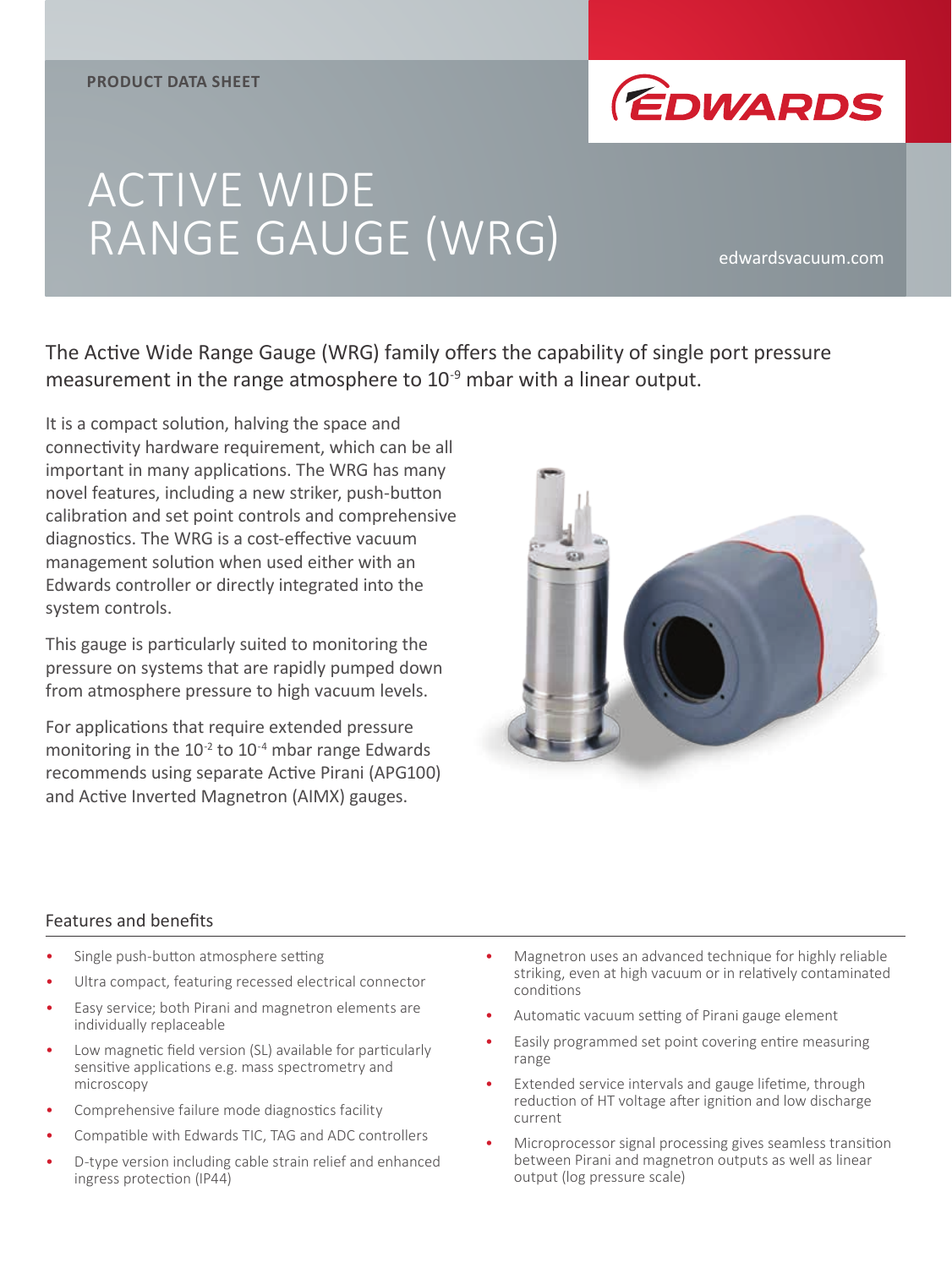

# ACTIVE WIDE RANGE GAUGE (WRG)

The Active Wide Range Gauge (WRG) family offers the capability of single port pressure measurement in the range atmosphere to 10<sup>-9</sup> mbar with a linear output.

It is a compact solution, halving the space and connectivity hardware requirement, which can be all important in many applications. The WRG has many novel features, including a new striker, push-button calibration and set point controls and comprehensive diagnostics. The WRG is a cost-effective vacuum management solution when used either with an Edwards controller or directly integrated into the system controls.

This gauge is particularly suited to monitoring the pressure on systems that are rapidly pumped down from atmosphere pressure to high vacuum levels.

For applications that require extended pressure monitoring in the  $10^{-2}$  to  $10^{-4}$  mbar range Edwards recommends using separate Active Pirani (APG100) and Active Inverted Magnetron (AIMX) gauges.



## Features and benefits

- Single push-button atmosphere setting
- Ultra compact, featuring recessed electrical connector
- Easy service; both Pirani and magnetron elements are individually replaceable
- Low magnetic field version (SL) available for particularly sensitive applications e.g. mass spectrometry and microscopy
- Comprehensive failure mode diagnostics facility
- Compatible with Edwards TIC, TAG and ADC controllers
- D-type version including cable strain relief and enhanced ingress protection (IP44)
- Magnetron uses an advanced technique for highly reliable striking, even at high vacuum or in relatively contaminated conditions
- Automatic vacuum setting of Pirani gauge element
- Easily programmed set point covering entire measuring range
- Extended service intervals and gauge lifetime, through reduction of HT voltage after ignition and low discharge current
- Microprocessor signal processing gives seamless transition between Pirani and magnetron outputs as well as linear output (log pressure scale)